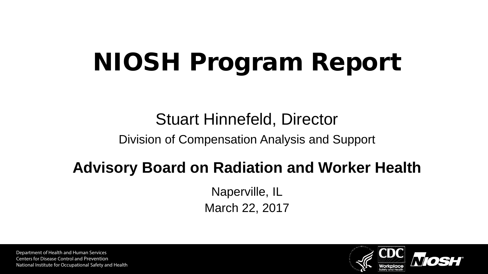# NIOSH Program Report

### Stuart Hinnefeld, Director

#### Division of Compensation Analysis and Support

#### **Advisory Board on Radiation and Worker Health**

Naperville, IL March 22, 2017

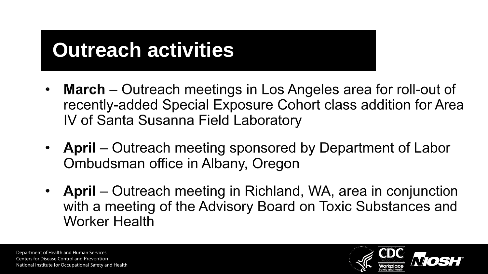# **Outreach activities**

- **March** Outreach meetings in Los Angeles area for roll-out of  $\bullet$ recently-added Special Exposure Cohort class addition for Area IV of Santa Susanna Field Laboratory
- April Outreach meeting sponsored by Department of Labor Ombudsman office in Albany, Oregon
- April Outreach meeting in Richland, WA, area in conjunction with a meeting of the Advisory Board on Toxic Substances and **Worker Health**

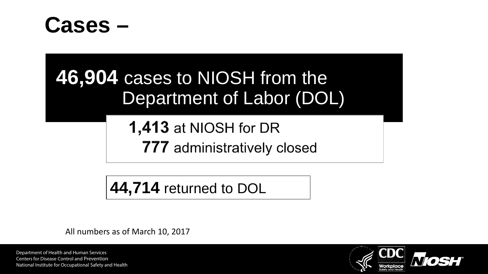



**1,413 at NIOSH for DR 777** administratively closed

**44,714** returned to DOL

All numbers as of March 10, 2017

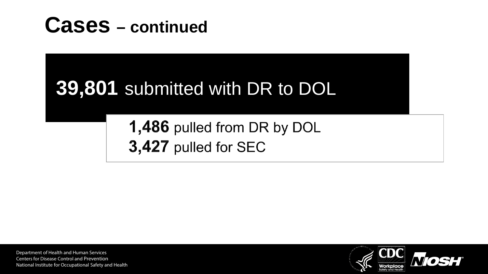

# **39,801** submitted with DR to DOL

1,486 pulled from DR by DOL 3,427 pulled for SEC

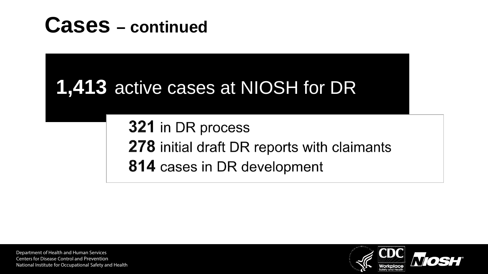



321 in DR process 278 initial draft DR reports with claimants 814 cases in DR development

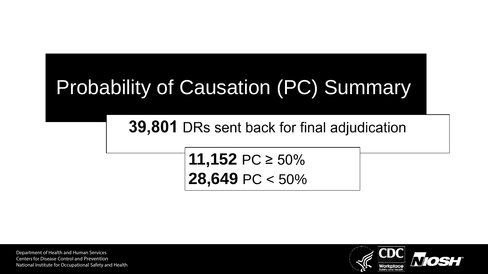# Probability of Causation (PC) Summary

39,801 DRs sent back for final adjudication

**11,152** PC ≥ 50% **28,649** PC < 50%

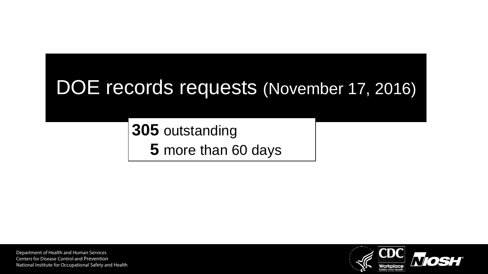# DOE records requests (November 17, 2016)

**305** outstanding **5** more than 60 days